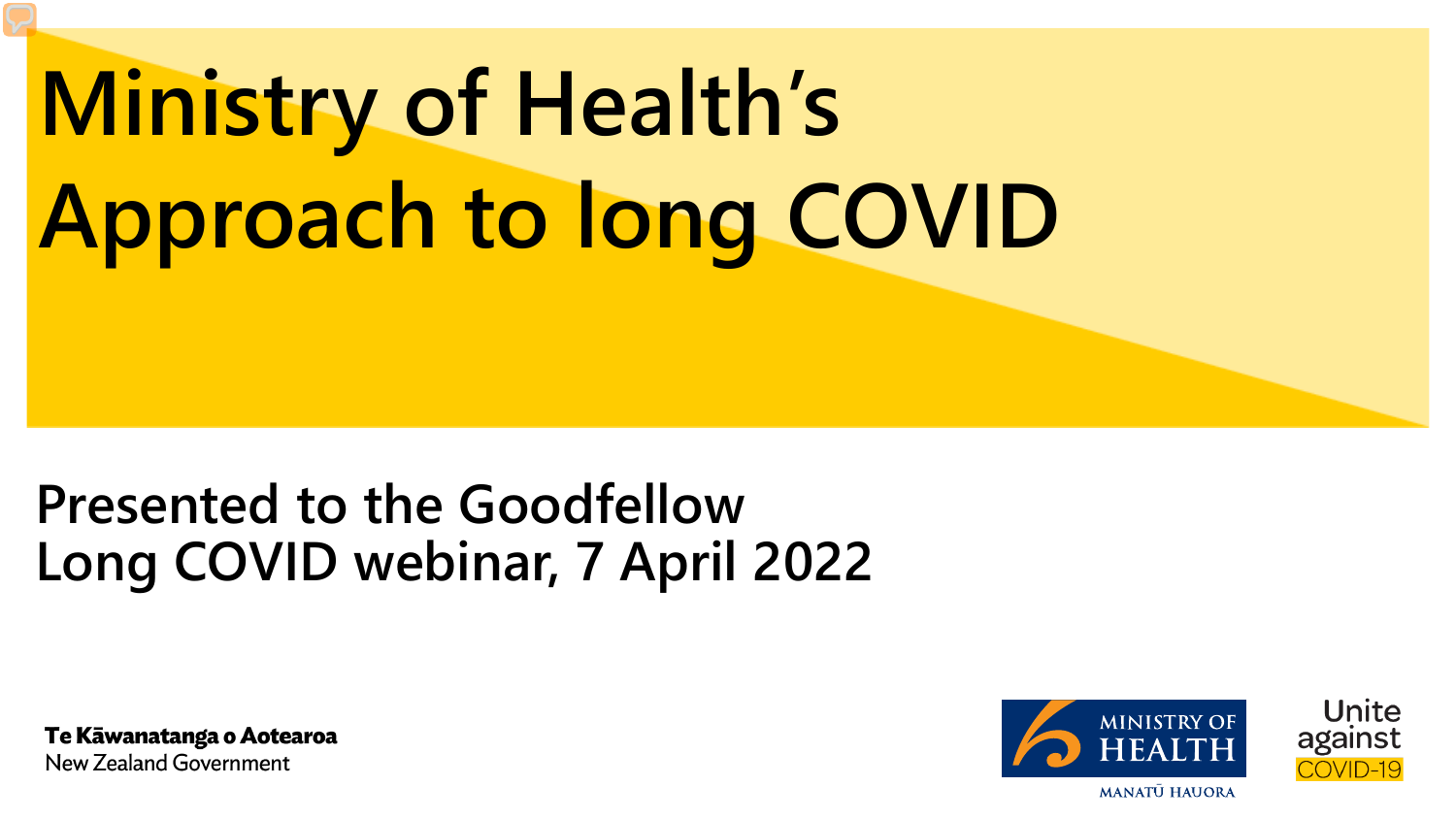# **Ministry of Health's Approach to long COVID**

# **Presented to the Goodfellow Long COVID webinar, 7 April 2022**

Te Kāwanatanga o Aotearoa New Zealand Government

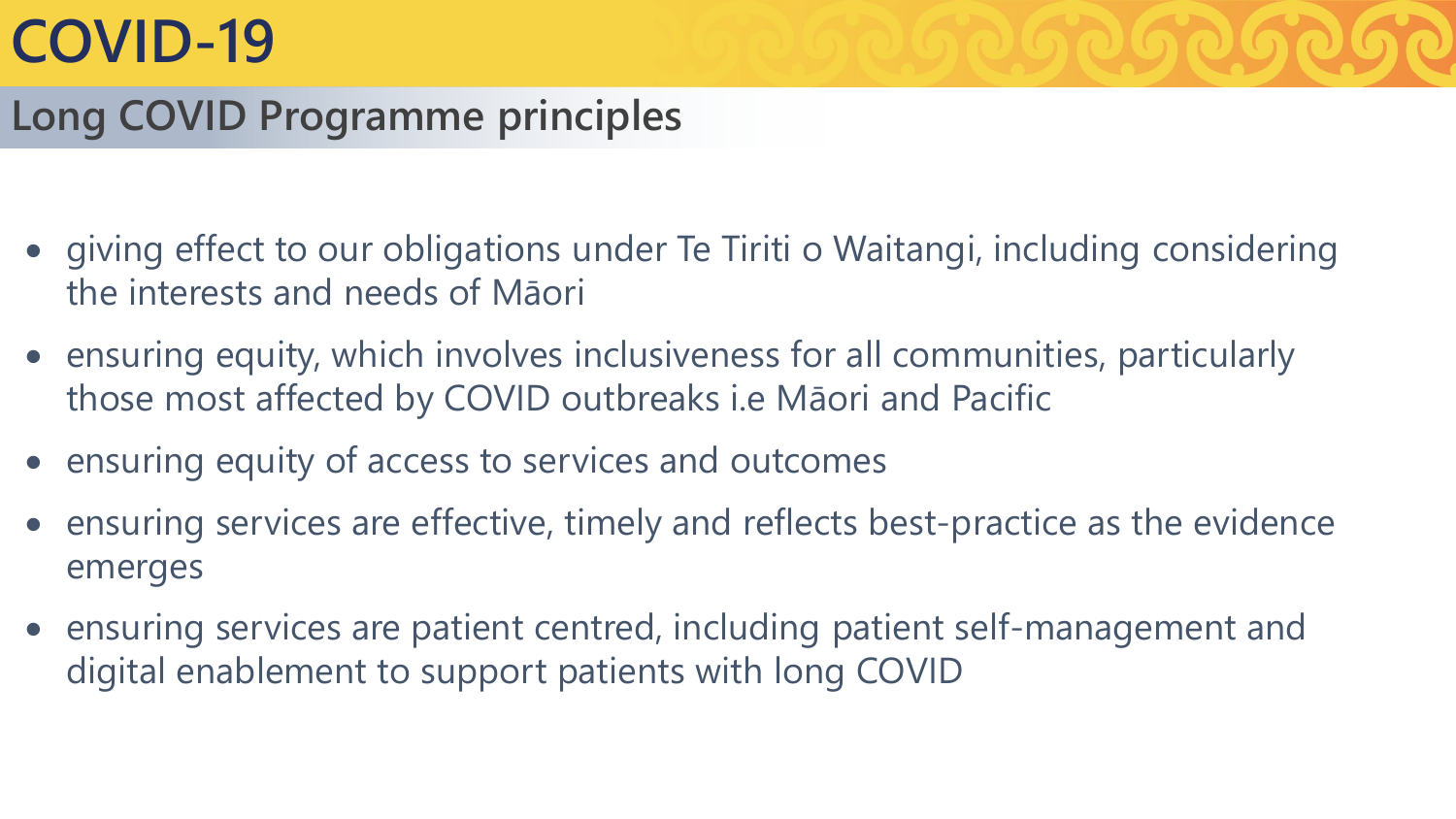# **COVID-19**

## **Long COVID Programme principles**

- giving effect to our obligations under Te Tiriti o Waitangi, including considering the interests and needs of Māori
- ensuring equity, which involves inclusiveness for all communities, particularly those most affected by COVID outbreaks i.e Māori and Pacific
- ensuring equity of access to services and outcomes
- ensuring services are effective, timely and reflects best-practice as the evidence emerges
- ensuring services are patient centred, including patient self-management and digital enablement to support patients with long COVID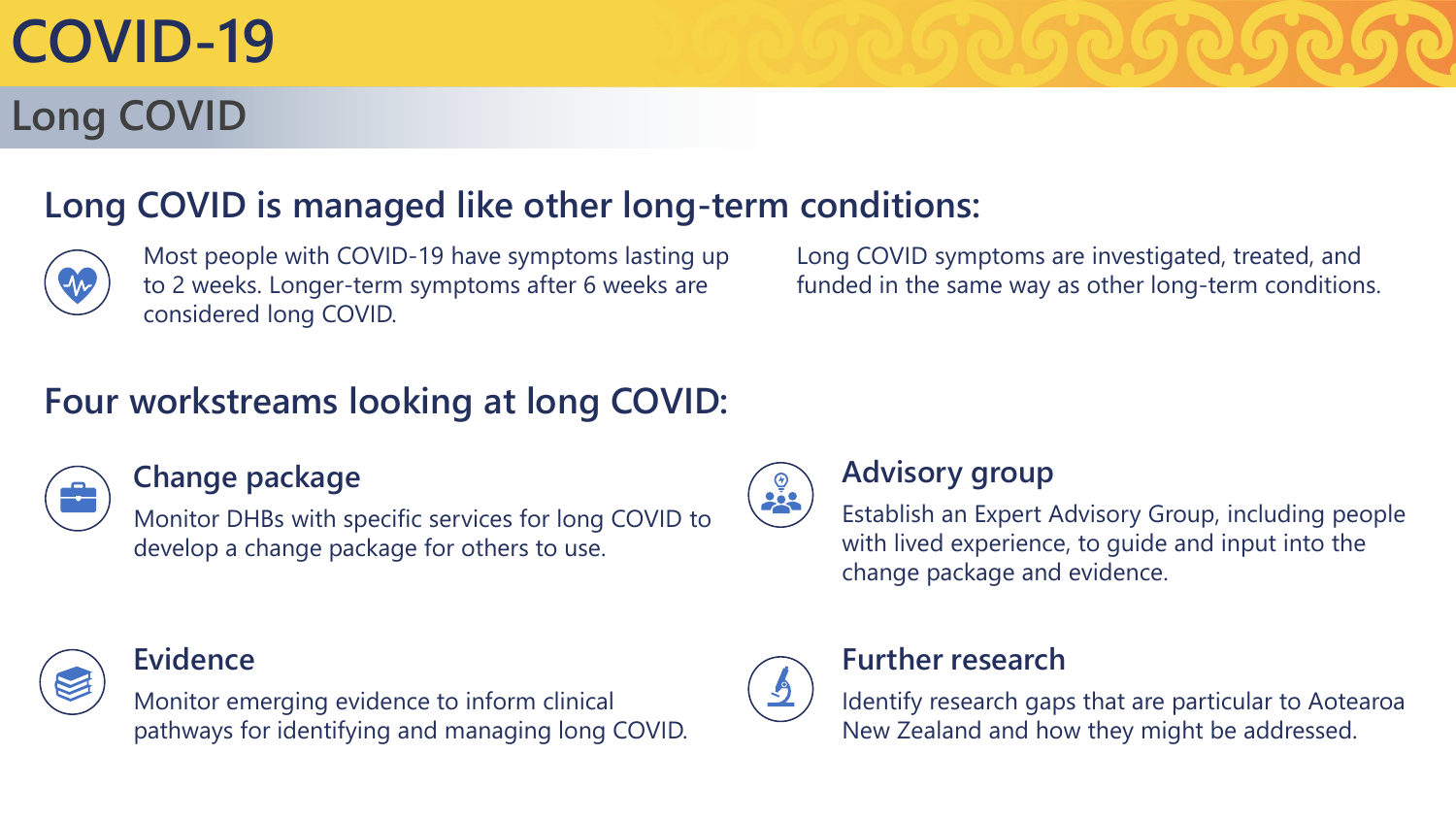# **COVID-19**

# **Long COVID**

## **Long COVID is managed like other long-term conditions:**



Most people with COVID-19 have symptoms lasting up to 2 weeks. Longer-term symptoms after 6 weeks are considered long COVID.

Long COVID symptoms are investigated, treated, and funded in the same way as other long-term conditions.

## **Four workstreams looking at long COVID:**



#### **Change package**

Monitor DHBs with specific services for long COVID to develop a change package for others to use.



#### **Evidence**

Monitor emerging evidence to inform clinical pathways for identifying and managing long COVID.



#### **Advisory group**

Establish an Expert Advisory Group, including people with lived experience, to guide and input into the change package and evidence.



#### **Further research**

Identify research gaps that are particular to Aotearoa New Zealand and how they might be addressed.